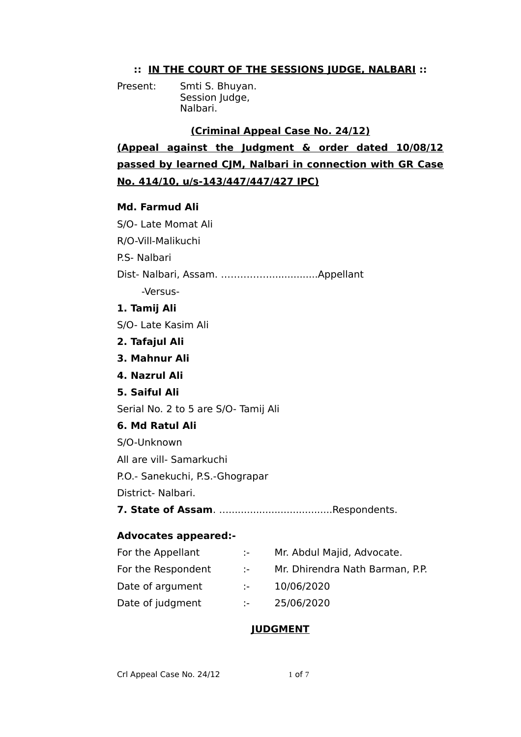# **:: IN THE COURT OF THE SESSIONS JUDGE, NALBARI ::**

Present: Smti S. Bhuyan. Session Judge, Nalbari.

## **(Criminal Appeal Case No. 24/12)**

**(Appeal against the Judgment & order dated 10/08/12 passed by learned CJM, Nalbari in connection with GR Case No. 414/10, u/s-143/447/447/427 IPC)**

### **Md. Farmud Ali**

S/O- Late Momat Ali R/O-Vill-Malikuchi P.S- Nalbari Dist- Nalbari, Assam. ……………................Appellant -Versus-**1. Tamij Ali** S/O- Late Kasim Ali **2. Tafajul Ali 3. Mahnur Ali 4. Nazrul Ali 5. Saiful Ali** Serial No. 2 to 5 are S/O- Tamij Ali **6. Md Ratul Ali** S/O-Unknown All are vill- Samarkuchi P.O.- Sanekuchi, P.S.-Ghograpar District- Nalbari. **7. State of Assam**. …..................................Respondents.

#### **Advocates appeared:-**

| For the Appellant  | de la                       | Mr. Abdul Majid, Advocate.      |
|--------------------|-----------------------------|---------------------------------|
| For the Respondent | $\mathcal{L} = \mathcal{L}$ | Mr. Dhirendra Nath Barman, P.P. |
| Date of argument   | die st                      | 10/06/2020                      |
| Date of judgment   | de la                       | 25/06/2020                      |

# **JUDGMENT**

Crl Appeal Case No. 24/12 1 of 7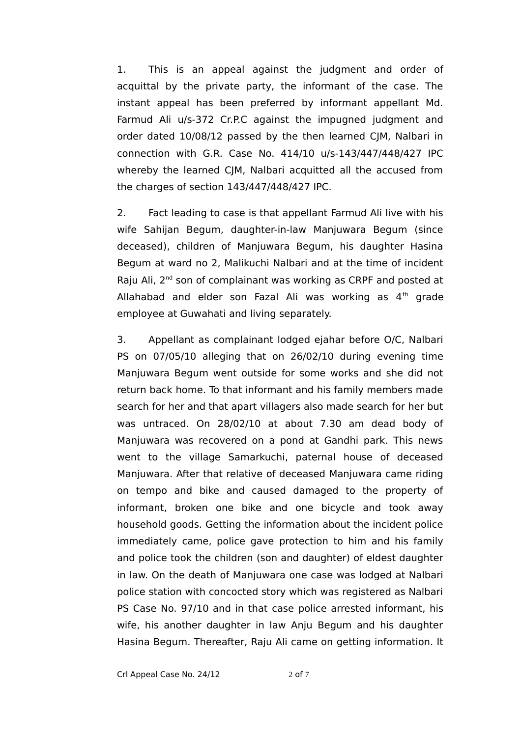1. This is an appeal against the judgment and order of acquittal by the private party, the informant of the case. The instant appeal has been preferred by informant appellant Md. Farmud Ali u/s-372 Cr.P.C against the impugned judgment and order dated 10/08/12 passed by the then learned CJM, Nalbari in connection with G.R. Case No. 414/10 u/s-143/447/448/427 IPC whereby the learned CIM, Nalbari acquitted all the accused from the charges of section 143/447/448/427 IPC.

2. Fact leading to case is that appellant Farmud Ali live with his wife Sahijan Begum, daughter-in-law Manjuwara Begum (since deceased), children of Manjuwara Begum, his daughter Hasina Begum at ward no 2, Malikuchi Nalbari and at the time of incident Raju Ali, 2<sup>nd</sup> son of complainant was working as CRPF and posted at Allahabad and elder son Fazal Ali was working as  $4<sup>th</sup>$  grade employee at Guwahati and living separately.

3. Appellant as complainant lodged ejahar before O/C, Nalbari PS on 07/05/10 alleging that on 26/02/10 during evening time Manjuwara Begum went outside for some works and she did not return back home. To that informant and his family members made search for her and that apart villagers also made search for her but was untraced. On 28/02/10 at about 7.30 am dead body of Manjuwara was recovered on a pond at Gandhi park. This news went to the village Samarkuchi, paternal house of deceased Manjuwara. After that relative of deceased Manjuwara came riding on tempo and bike and caused damaged to the property of informant, broken one bike and one bicycle and took away household goods. Getting the information about the incident police immediately came, police gave protection to him and his family and police took the children (son and daughter) of eldest daughter in law. On the death of Manjuwara one case was lodged at Nalbari police station with concocted story which was registered as Nalbari PS Case No. 97/10 and in that case police arrested informant, his wife, his another daughter in law Anju Begum and his daughter Hasina Begum. Thereafter, Raju Ali came on getting information. It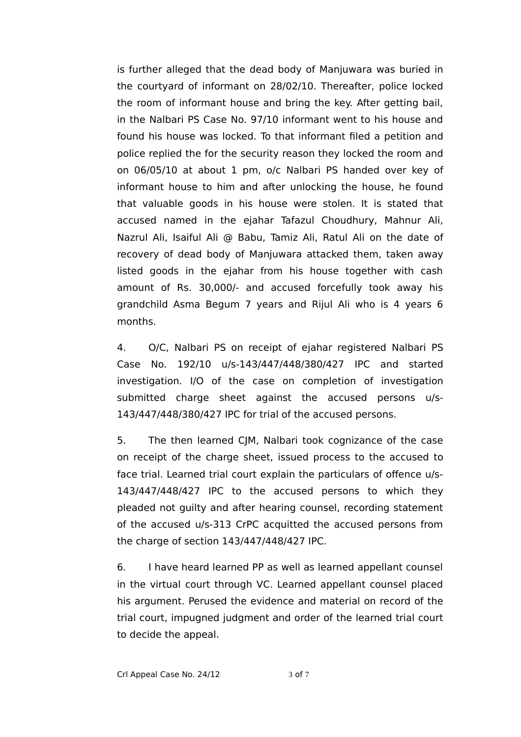is further alleged that the dead body of Manjuwara was buried in the courtyard of informant on 28/02/10. Thereafter, police locked the room of informant house and bring the key. After getting bail, in the Nalbari PS Case No. 97/10 informant went to his house and found his house was locked. To that informant filed a petition and police replied the for the security reason they locked the room and on 06/05/10 at about 1 pm, o/c Nalbari PS handed over key of informant house to him and after unlocking the house, he found that valuable goods in his house were stolen. It is stated that accused named in the ejahar Tafazul Choudhury, Mahnur Ali, Nazrul Ali, Isaiful Ali @ Babu, Tamiz Ali, Ratul Ali on the date of recovery of dead body of Manjuwara attacked them, taken away listed goods in the ejahar from his house together with cash amount of Rs. 30,000/- and accused forcefully took away his grandchild Asma Begum 7 years and Rijul Ali who is 4 years 6 months.

4. O/C, Nalbari PS on receipt of ejahar registered Nalbari PS Case No. 192/10 u/s-143/447/448/380/427 IPC and started investigation. I/O of the case on completion of investigation submitted charge sheet against the accused persons u/s-143/447/448/380/427 IPC for trial of the accused persons.

5. The then learned CJM, Nalbari took cognizance of the case on receipt of the charge sheet, issued process to the accused to face trial. Learned trial court explain the particulars of offence u/s-143/447/448/427 IPC to the accused persons to which they pleaded not guilty and after hearing counsel, recording statement of the accused u/s-313 CrPC acquitted the accused persons from the charge of section 143/447/448/427 IPC.

6. I have heard learned PP as well as learned appellant counsel in the virtual court through VC. Learned appellant counsel placed his argument. Perused the evidence and material on record of the trial court, impugned judgment and order of the learned trial court to decide the appeal.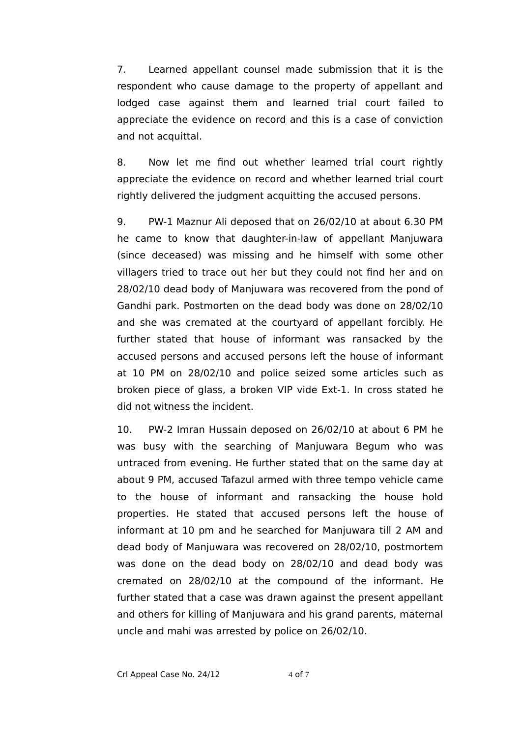7. Learned appellant counsel made submission that it is the respondent who cause damage to the property of appellant and lodged case against them and learned trial court failed to appreciate the evidence on record and this is a case of conviction and not acquittal.

8. Now let me find out whether learned trial court rightly appreciate the evidence on record and whether learned trial court rightly delivered the judgment acquitting the accused persons.

9. PW-1 Maznur Ali deposed that on 26/02/10 at about 6.30 PM he came to know that daughter-in-law of appellant Manjuwara (since deceased) was missing and he himself with some other villagers tried to trace out her but they could not find her and on 28/02/10 dead body of Manjuwara was recovered from the pond of Gandhi park. Postmorten on the dead body was done on 28/02/10 and she was cremated at the courtyard of appellant forcibly. He further stated that house of informant was ransacked by the accused persons and accused persons left the house of informant at 10 PM on 28/02/10 and police seized some articles such as broken piece of glass, a broken VIP vide Ext-1. In cross stated he did not witness the incident.

10. PW-2 Imran Hussain deposed on 26/02/10 at about 6 PM he was busy with the searching of Manjuwara Begum who was untraced from evening. He further stated that on the same day at about 9 PM, accused Tafazul armed with three tempo vehicle came to the house of informant and ransacking the house hold properties. He stated that accused persons left the house of informant at 10 pm and he searched for Manjuwara till 2 AM and dead body of Manjuwara was recovered on 28/02/10, postmortem was done on the dead body on 28/02/10 and dead body was cremated on 28/02/10 at the compound of the informant. He further stated that a case was drawn against the present appellant and others for killing of Manjuwara and his grand parents, maternal uncle and mahi was arrested by police on 26/02/10.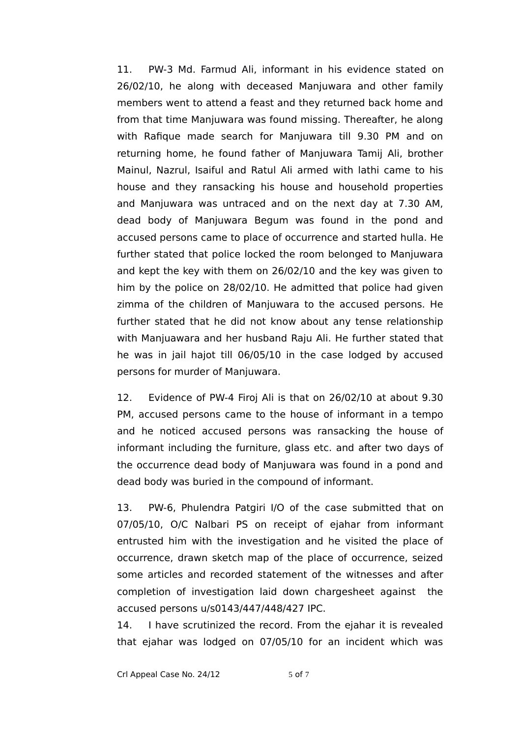11. PW-3 Md. Farmud Ali, informant in his evidence stated on 26/02/10, he along with deceased Manjuwara and other family members went to attend a feast and they returned back home and from that time Manjuwara was found missing. Thereafter, he along with Rafique made search for Manjuwara till 9.30 PM and on returning home, he found father of Manjuwara Tamij Ali, brother Mainul, Nazrul, Isaiful and Ratul Ali armed with lathi came to his house and they ransacking his house and household properties and Manjuwara was untraced and on the next day at 7.30 AM, dead body of Manjuwara Begum was found in the pond and accused persons came to place of occurrence and started hulla. He further stated that police locked the room belonged to Manjuwara and kept the key with them on 26/02/10 and the key was given to him by the police on 28/02/10. He admitted that police had given zimma of the children of Manjuwara to the accused persons. He further stated that he did not know about any tense relationship with Manjuawara and her husband Raju Ali. He further stated that he was in jail hajot till 06/05/10 in the case lodged by accused persons for murder of Manjuwara.

12. Evidence of PW-4 Firoj Ali is that on 26/02/10 at about 9.30 PM, accused persons came to the house of informant in a tempo and he noticed accused persons was ransacking the house of informant including the furniture, glass etc. and after two days of the occurrence dead body of Manjuwara was found in a pond and dead body was buried in the compound of informant.

13. PW-6, Phulendra Patgiri I/O of the case submitted that on 07/05/10, O/C Nalbari PS on receipt of ejahar from informant entrusted him with the investigation and he visited the place of occurrence, drawn sketch map of the place of occurrence, seized some articles and recorded statement of the witnesses and after completion of investigation laid down chargesheet against the accused persons u/s0143/447/448/427 IPC.

14. I have scrutinized the record. From the ejahar it is revealed that ejahar was lodged on 07/05/10 for an incident which was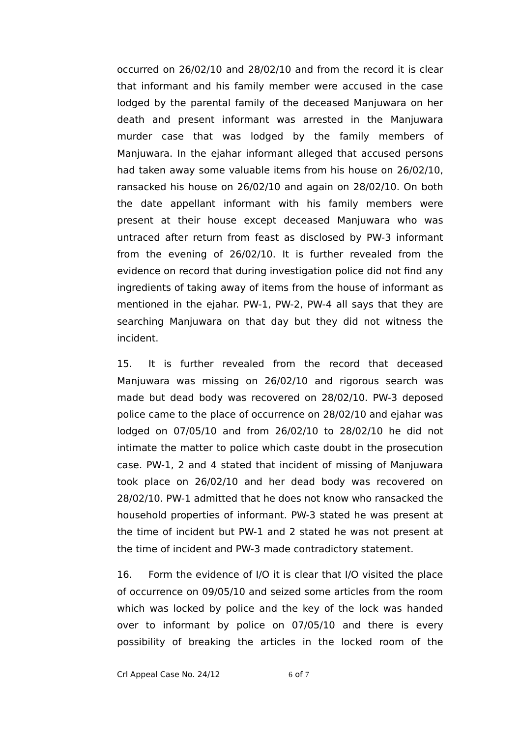occurred on 26/02/10 and 28/02/10 and from the record it is clear that informant and his family member were accused in the case lodged by the parental family of the deceased Manjuwara on her death and present informant was arrested in the Manjuwara murder case that was lodged by the family members of Manjuwara. In the ejahar informant alleged that accused persons had taken away some valuable items from his house on 26/02/10, ransacked his house on 26/02/10 and again on 28/02/10. On both the date appellant informant with his family members were present at their house except deceased Manjuwara who was untraced after return from feast as disclosed by PW-3 informant from the evening of 26/02/10. It is further revealed from the evidence on record that during investigation police did not find any ingredients of taking away of items from the house of informant as mentioned in the ejahar. PW-1, PW-2, PW-4 all says that they are searching Manjuwara on that day but they did not witness the incident.

15. It is further revealed from the record that deceased Manjuwara was missing on 26/02/10 and rigorous search was made but dead body was recovered on 28/02/10. PW-3 deposed police came to the place of occurrence on 28/02/10 and ejahar was lodged on 07/05/10 and from 26/02/10 to 28/02/10 he did not intimate the matter to police which caste doubt in the prosecution case. PW-1, 2 and 4 stated that incident of missing of Manjuwara took place on 26/02/10 and her dead body was recovered on 28/02/10. PW-1 admitted that he does not know who ransacked the household properties of informant. PW-3 stated he was present at the time of incident but PW-1 and 2 stated he was not present at the time of incident and PW-3 made contradictory statement.

16. Form the evidence of I/O it is clear that I/O visited the place of occurrence on 09/05/10 and seized some articles from the room which was locked by police and the key of the lock was handed over to informant by police on 07/05/10 and there is every possibility of breaking the articles in the locked room of the